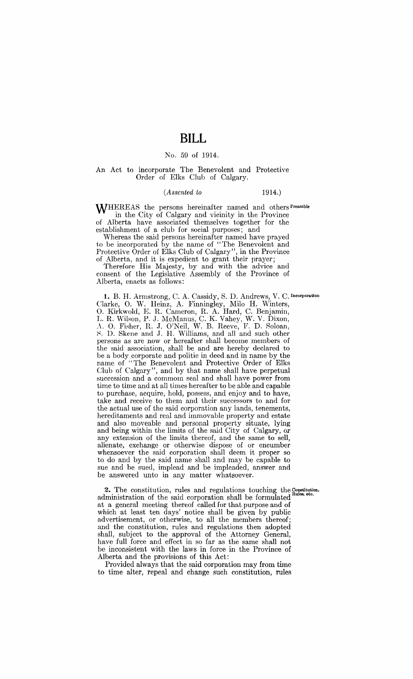# **BILL**

### No. 59 of 1914.

#### An Act to incorporate The Benevolent and Protective Order of Elks Club of Calgary.

#### *(Assented to* 1914.)

WHEREAS the persons hereinafter named and others Preamble in the City of Calgary and vicinity in the Province of Alberta have associated themselves together for the establishment of a club for social purposes; and

Whereas the said persons hereinafter named have prayed to be incorporated by the name of "The Benevolent and Protective Order of Elks Club of Calgary", in the Province of Alberta, and it is expedient to grant their prayer;

Therefore His Majesty, by and with the advice and consent of the Legislative Assembly of the Province of Alberta, enacts as follows:

1. B. H. Armstrong, C. A. Cassidy, S. D. Andrews, V. C. Incorporation Clarke, O. W. Heinz, A. Finningley, Milo H. Winters, O. Kirkwold, E. R. Cameron, R. A. Hard, C. Benjamin, L. R. Wilson, P. J. McManus, C. K. Vahey, W. V. Dixon, A. O. Fisher, R. J. O'Neil, W. B. Reeve, F. D. Soloan, ~. D. Skene and .J. H. Williams, and all and such other persons as are now or hereafter shall become members of the said association, shall be and are hereby declared to be a body corporate and politic in deed and in name by the name of "The Benevolent and Protective Order of Elks Club of Calgary", and by that name shall have perpetual succession and a commom seal and shall have power from time to time and at all times hereafter to be able and capable to purchase, acquire, hold, possess, and enjoy and to have, take and receive to them and their successors to and for the actual use of the said corporation any lands, tenements, hereditaments and real and immovable property and estate and also moveable and personal property situate, lying and being within the limits of the said City of Calgary, or any extension of the limits thereof, and the same to sell, alienate, exchange or otherwise dispose of or encumber whensoever the said corporation shall deem it proper so to do and by the said name shall and may be capable to sue and be sued, implead and be impleaded, answer and be answered unto in any matter whatsoever.

2. The constitution, rules and regulations touching the Constitution, administration of the said corporation shall be formulated at a general meeting thereof called for that purpose and of which at least ten days' notice shall be given by public advertisement, or otherwise, to all the members thereof; and the constitution, rules and regulations then adopted shall, subject to the approval of the Attorney General, have full force and effect in so far as the same shall not be inconsistent with the laws in force in the Province of Alberta and the provisions of this Act:

Provided always that the said corporation may from time to time alter, repeal and change such constitution, rules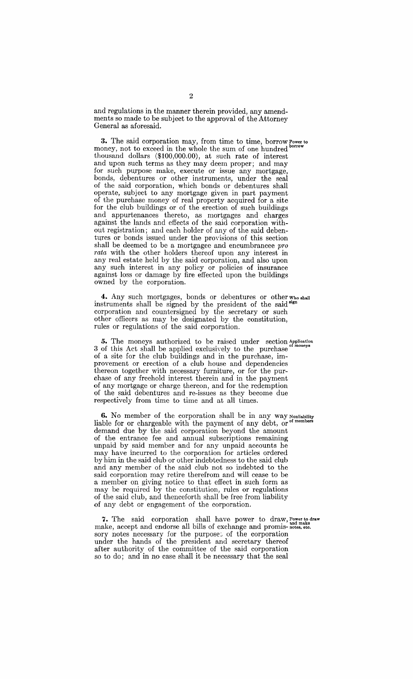and regulations in the manner therein provided, any amendments so made to be subject to the approval of the Attorney General as aforesaid.

**3.** The said corporation may, from time to time, borrow Power to money, not to exceed in the whole the sum of one hundred thousand dollars (\$100,000.00), at such rate of interest and upon such terms as they may deem proper; and may for such purpose make, execute or issue any mortgage, bonds, debentures or other instruments, under the seal of the said corporation, which bonds or debentures shall operate, subject to any mortgage given in part payment of the purchase money of real property acquired for a site for the club buildings or of the erection of such buildings and appurtenances thereto, as mortgages and charges against the lands and effects of the said corporation without registration; and each holder of any of the said debentures or bonds issued under the provisions of this section shall be deemed to be a mortgagee and encumbrancee *pro rata* with the other holders thereof upon any interest in any real estate held by the said corporation, and also upon any such interest in any policy or policies of insurance against loss or damage by fire effected upon the buildings owned by the corporation.

4. Any such mortgages, bonds or debentures or other who shall instruments shall be signed by the president of the said sign corporation and countersigned by the secretary or such other officers as may be designated by the constitution, rules or regulations of the said corporation.

5. The moneys authorized to be raised under section Application 3 of this Act shall be applied exclusively to the purchase <sup>or moneys</sup> of a site for the club buildings and in the purchase, improvement or erection of a club house and dependencies thereon together with necessary furniture, or for the purchase of any freehold interest therein and in the payment of any mortgage or charge thereon, and for the redemption of the said debentures and re-issues as they become due respectively from time to time and at all times.

**6.** No member of the corporation shall be in any way Nonliability liable for or chargeable with the payment of any debt, or <sup>of members</sup> demand due by the said corporation beyond the amount of the entrance fee and annual subscriptions remaining unpaid by said member and for any unpaid accounts he may have incurred to the corporation for articles ordered by him in the said club or other indebtedness to the said club and any member of the said club not so indebted to the said corporation may retire therefrom and will cease to be a member on giving notice to that effect in such form as may be required by the constitution, rules or regulations of the said club, and thenceforth shall be free from liability of any debt or engagement of the corporation.

7. The said corporation shall have power to draw, Power to draw make, accept and endorse all bills of exchange and promis-notes, etc. sory notes necessary for the purpose. of the corporation under the hands of the president and secretary thereof after authority of the committee of the said corporation so to do; and in no case shall it be necessary that the seal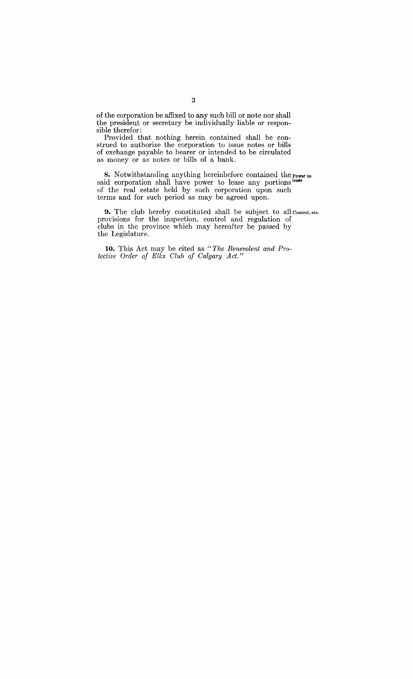of the corporation be affixed to any such bill or note nor shall the president or secretary be individually liable or responsible therefor:

Provided that nothing herein contained shall be construed to authorize the corporation to issue notes or bills of exchange payable to bearer or intended to be circulated as money or as notes or bills of a bank.

**8.** Notwithstanding anything hereinbefore contained the Power to said corporation shall have power to lease any portions lease of the real estate held by such corporation upon such terms and for such period as may be agreed upon.

**9.** The club hereby constituted shall be subject to all Control. etc. provisions for the inspection, control and regulation of clubs in the province which may hereafter be passed by the Legislature.

10. This Act may be cited as "The Benevolent and Pro*tective Order of Elks Club of Calgary Act."*